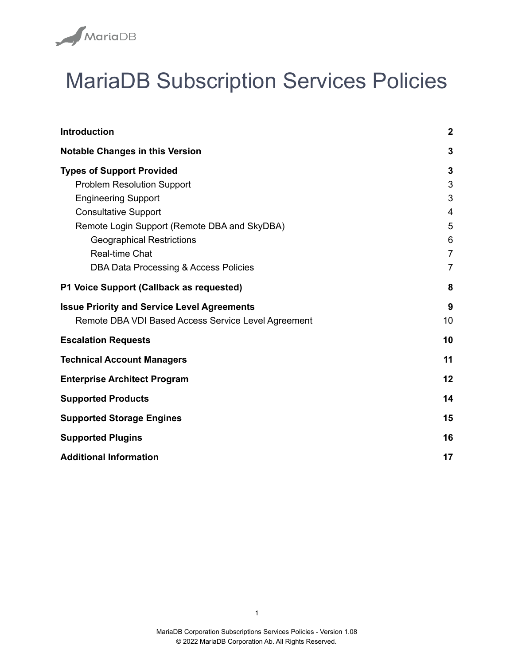

# MariaDB Subscription Services Policies

| <b>Introduction</b>                                 | $\boldsymbol{2}$ |
|-----------------------------------------------------|------------------|
| <b>Notable Changes in this Version</b>              | $\mathbf{3}$     |
| <b>Types of Support Provided</b>                    | $\mathbf{3}$     |
| <b>Problem Resolution Support</b>                   | 3                |
| <b>Engineering Support</b>                          | 3                |
| <b>Consultative Support</b>                         | $\overline{4}$   |
| Remote Login Support (Remote DBA and SkyDBA)        | 5                |
| <b>Geographical Restrictions</b>                    | $6\phantom{1}$   |
| Real-time Chat                                      | $\overline{7}$   |
| DBA Data Processing & Access Policies               | $\overline{7}$   |
| P1 Voice Support (Callback as requested)            | 8                |
| <b>Issue Priority and Service Level Agreements</b>  | 9                |
| Remote DBA VDI Based Access Service Level Agreement | 10               |
| <b>Escalation Requests</b>                          | 10               |
| <b>Technical Account Managers</b>                   | 11               |
| <b>Enterprise Architect Program</b>                 | 12               |
| <b>Supported Products</b>                           | 14               |
| <b>Supported Storage Engines</b>                    | 15               |
| <b>Supported Plugins</b>                            | 16               |
| <b>Additional Information</b>                       | 17               |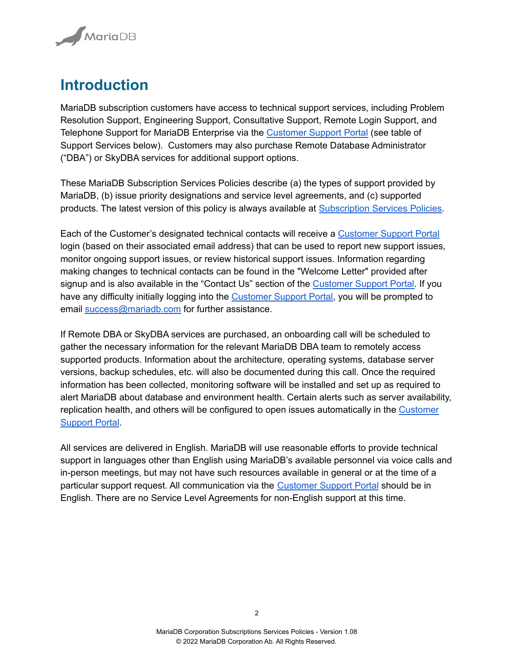

### <span id="page-1-0"></span>**Introduction**

MariaDB subscription customers have access to technical support services, including Problem Resolution Support, Engineering Support, Consultative Support, Remote Login Support, and Telephone Support for MariaDB Enterprise via the [Customer](https://csm.mariadb.com) Support Portal (see table of Support Services below). Customers may also purchase Remote Database Administrator ("DBA") or SkyDBA services for additional support options.

These MariaDB Subscription Services Policies describe (a) the types of support provided by MariaDB, (b) issue priority designations and service level agreements, and (c) supported products. The latest version of this policy is always available at [Subscription](https://mariadb.com/subscription-services-policies/) Services Policies.

Each of the Customer's designated technical contacts will receive a [Customer](https://csm.mariadb.com) Support Portal login (based on their associated email address) that can be used to report new support issues, monitor ongoing support issues, or review historical support issues. Information regarding making changes to technical contacts can be found in the "Welcome Letter" provided after signup and is also available in the "Contact Us" section of the [Customer](https://csm.mariadb.com) Support Portal. If you have any difficulty initially logging into the [Customer](https://csm.mariadb.com) Support Portal, you will be prompted to email [success@mariadb.com](mailto:success@mariadb.com) for further assistance.

If Remote DBA or SkyDBA services are purchased, an onboarding call will be scheduled to gather the necessary information for the relevant MariaDB DBA team to remotely access supported products. Information about the architecture, operating systems, database server versions, backup schedules, etc. will also be documented during this call. Once the required information has been collected, monitoring software will be installed and set up as required to alert MariaDB about database and environment health. Certain alerts such as server availability, replication health, and others will be configured to open issues automatically in the [Customer](https://csm.mariadb.com) [Support](https://csm.mariadb.com) Portal.

All services are delivered in English. MariaDB will use reasonable efforts to provide technical support in languages other than English using MariaDB's available personnel via voice calls and in-person meetings, but may not have such resources available in general or at the time of a particular support request. All communication via the [Customer](https://csm.mariadb.com) Support Portal should be in English. There are no Service Level Agreements for non-English support at this time.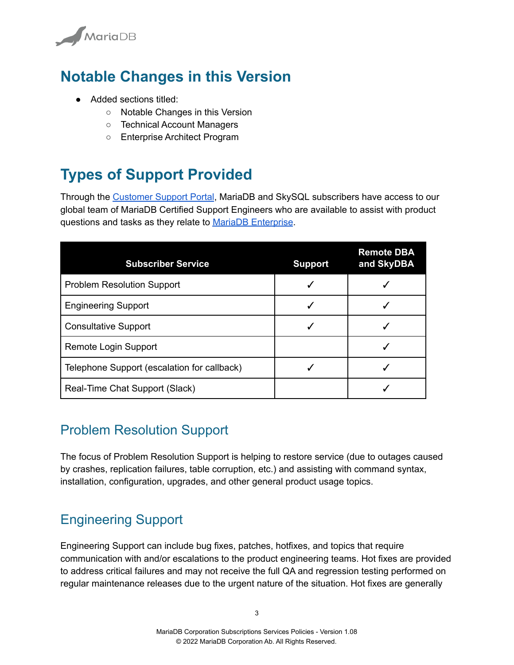

# <span id="page-2-0"></span>**Notable Changes in this Version**

- Added sections titled:
	- Notable Changes in this Version
	- Technical Account Managers
	- Enterprise Architect Program

# <span id="page-2-1"></span>**Types of Support Provided**

Through the [Customer](https://cloud.mariadb.com/csm) Support Portal, MariaDB and SkySQL subscribers have access to our global team of MariaDB Certified Support Engineers who are available to assist with product questions and tasks as they relate to MariaDB [Enterprise](https://mariadb.com/products/).

| <b>Subscriber Service</b>                   | <b>Support</b> | <b>Remote DBA</b><br>and SkyDBA |
|---------------------------------------------|----------------|---------------------------------|
| <b>Problem Resolution Support</b>           |                |                                 |
| <b>Engineering Support</b>                  |                |                                 |
| <b>Consultative Support</b>                 |                |                                 |
| Remote Login Support                        |                |                                 |
| Telephone Support (escalation for callback) |                |                                 |
| Real-Time Chat Support (Slack)              |                |                                 |

#### <span id="page-2-2"></span>Problem Resolution Support

The focus of Problem Resolution Support is helping to restore service (due to outages caused by crashes, replication failures, table corruption, etc.) and assisting with command syntax, installation, configuration, upgrades, and other general product usage topics.

### <span id="page-2-3"></span>Engineering Support

Engineering Support can include bug fixes, patches, hotfixes, and topics that require communication with and/or escalations to the product engineering teams. Hot fixes are provided to address critical failures and may not receive the full QA and regression testing performed on regular maintenance releases due to the urgent nature of the situation. Hot fixes are generally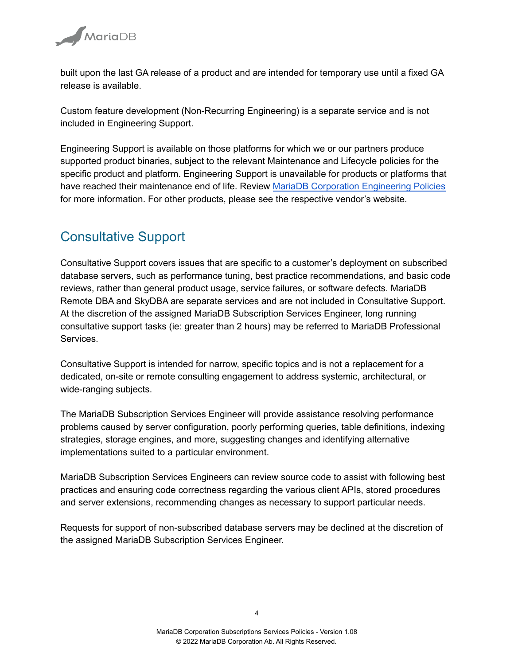

built upon the last GA release of a product and are intended for temporary use until a fixed GA release is available.

Custom feature development (Non-Recurring Engineering) is a separate service and is not included in Engineering Support.

Engineering Support is available on those platforms for which we or our partners produce supported product binaries, subject to the relevant Maintenance and Lifecycle policies for the specific product and platform. Engineering Support is unavailable for products or platforms that have reached their maintenance end of life. Review MariaDB Corporation [Engineering](https://mariadb.com/engineering-policies) Policies for more information. For other products, please see the respective vendor's website.

#### <span id="page-3-0"></span>Consultative Support

Consultative Support covers issues that are specific to a customer's deployment on subscribed database servers, such as performance tuning, best practice recommendations, and basic code reviews, rather than general product usage, service failures, or software defects. MariaDB Remote DBA and SkyDBA are separate services and are not included in Consultative Support. At the discretion of the assigned MariaDB Subscription Services Engineer, long running consultative support tasks (ie: greater than 2 hours) may be referred to MariaDB Professional Services.

Consultative Support is intended for narrow, specific topics and is not a replacement for a dedicated, on-site or remote consulting engagement to address systemic, architectural, or wide-ranging subjects.

The MariaDB Subscription Services Engineer will provide assistance resolving performance problems caused by server configuration, poorly performing queries, table definitions, indexing strategies, storage engines, and more, suggesting changes and identifying alternative implementations suited to a particular environment.

MariaDB Subscription Services Engineers can review source code to assist with following best practices and ensuring code correctness regarding the various client APIs, stored procedures and server extensions, recommending changes as necessary to support particular needs.

Requests for support of non-subscribed database servers may be declined at the discretion of the assigned MariaDB Subscription Services Engineer.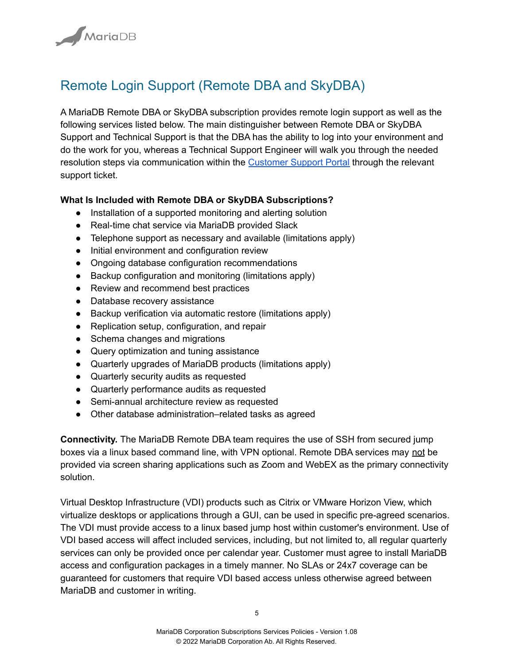

#### <span id="page-4-0"></span>Remote Login Support (Remote DBA and SkyDBA)

A MariaDB Remote DBA or SkyDBA subscription provides remote login support as well as the following services listed below. The main distinguisher between Remote DBA or SkyDBA Support and Technical Support is that the DBA has the ability to log into your environment and do the work for you, whereas a Technical Support Engineer will walk you through the needed resolution steps via communication within the [Customer](https://csm.mariadb.com) Support Portal through the relevant support ticket.

#### **What Is Included with Remote DBA or SkyDBA Subscriptions?**

- Installation of a supported monitoring and alerting solution
- Real-time chat service via MariaDB provided Slack
- Telephone support as necessary and available (limitations apply)
- Initial environment and configuration review
- Ongoing database configuration recommendations
- Backup configuration and monitoring (limitations apply)
- Review and recommend best practices
- Database recovery assistance
- Backup verification via automatic restore (limitations apply)
- Replication setup, configuration, and repair
- Schema changes and migrations
- Query optimization and tuning assistance
- Quarterly upgrades of MariaDB products (limitations apply)
- Quarterly security audits as requested
- Quarterly performance audits as requested
- Semi-annual architecture review as requested
- Other database administration–related tasks as agreed

**Connectivity.** The MariaDB Remote DBA team requires the use of SSH from secured jump boxes via a linux based command line, with VPN optional. Remote DBA services may not be provided via screen sharing applications such as Zoom and WebEX as the primary connectivity solution.

Virtual Desktop Infrastructure (VDI) products such as Citrix or VMware Horizon View, which virtualize desktops or applications through a GUI, can be used in specific pre-agreed scenarios. The VDI must provide access to a linux based jump host within customer's environment. Use of VDI based access will affect included services, including, but not limited to, all regular quarterly services can only be provided once per calendar year. Customer must agree to install MariaDB access and configuration packages in a timely manner. No SLAs or 24x7 coverage can be guaranteed for customers that require VDI based access unless otherwise agreed between MariaDB and customer in writing.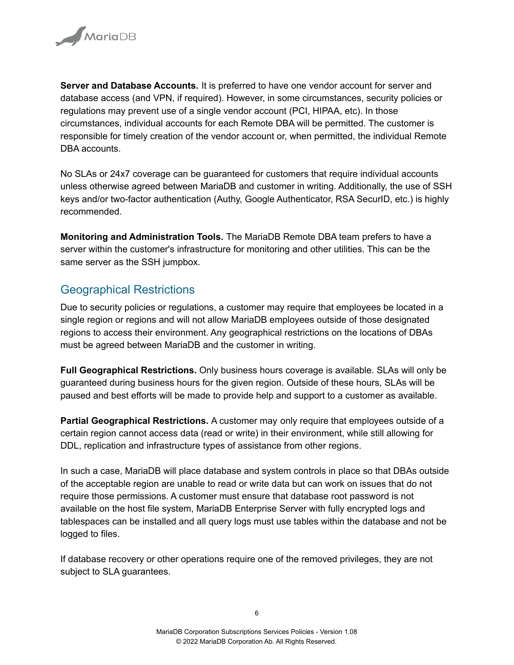

**Server and Database Accounts.** It is preferred to have one vendor account for server and database access (and VPN, if required). However, in some circumstances, security policies or regulations may prevent use of a single vendor account (PCI, HIPAA, etc). In those circumstances, individual accounts for each Remote DBA will be permitted. The customer is responsible for timely creation of the vendor account or, when permitted, the individual Remote DBA accounts.

No SLAs or 24x7 coverage can be guaranteed for customers that require individual accounts unless otherwise agreed between MariaDB and customer in writing. Additionally, the use of SSH keys and/or two-factor authentication (Authy, Google Authenticator, RSA SecurID, etc.) is highly recommended.

**Monitoring and Administration Tools.** The MariaDB Remote DBA team prefers to have a server within the customer's infrastructure for monitoring and other utilities. This can be the same server as the SSH jumpbox.

#### <span id="page-5-0"></span>Geographical Restrictions

Due to security policies or regulations, a customer may require that employees be located in a single region or regions and will not allow MariaDB employees outside of those designated regions to access their environment. Any geographical restrictions on the locations of DBAs must be agreed between MariaDB and the customer in writing.

**Full Geographical Restrictions.** Only business hours coverage is available. SLAs will only be guaranteed during business hours for the given region. Outside of these hours, SLAs will be paused and best efforts will be made to provide help and support to a customer as available.

**Partial Geographical Restrictions.** A customer may only require that employees outside of a certain region cannot access data (read or write) in their environment, while still allowing for DDL, replication and infrastructure types of assistance from other regions.

In such a case, MariaDB will place database and system controls in place so that DBAs outside of the acceptable region are unable to read or write data but can work on issues that do not require those permissions. A customer must ensure that database root password is not available on the host file system, MariaDB Enterprise Server with fully encrypted logs and tablespaces can be installed and all query logs must use tables within the database and not be logged to files.

If database recovery or other operations require one of the removed privileges, they are not subject to SLA guarantees.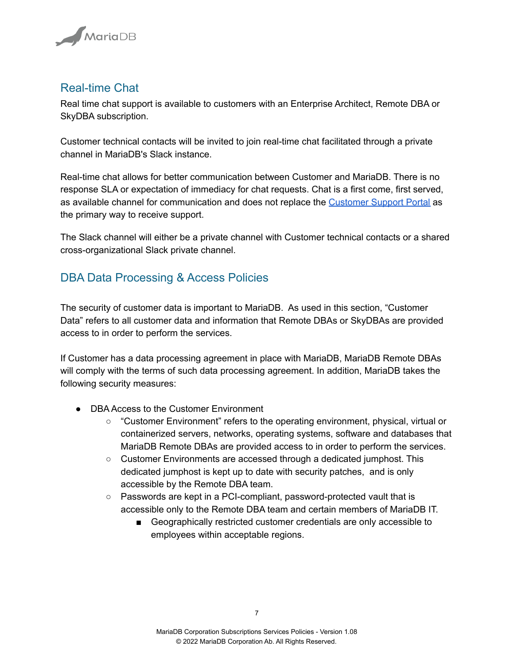

#### <span id="page-6-0"></span>Real-time Chat

Real time chat support is available to customers with an Enterprise Architect, Remote DBA or SkyDBA subscription.

Customer technical contacts will be invited to join real-time chat facilitated through a private channel in MariaDB's Slack instance.

Real-time chat allows for better communication between Customer and MariaDB. There is no response SLA or expectation of immediacy for chat requests. Chat is a first come, first served, as available channel for communication and does not replace the [Customer](https://cloud.mariadb.com/csm) Support Portal as the primary way to receive support.

The Slack channel will either be a private channel with Customer technical contacts or a shared cross-organizational Slack private channel.

#### <span id="page-6-1"></span>DBA Data Processing & Access Policies

The security of customer data is important to MariaDB. As used in this section, "Customer Data" refers to all customer data and information that Remote DBAs or SkyDBAs are provided access to in order to perform the services.

If Customer has a data processing agreement in place with MariaDB, MariaDB Remote DBAs will comply with the terms of such data processing agreement. In addition, MariaDB takes the following security measures:

- DBA Access to the Customer Environment
	- "Customer Environment" refers to the operating environment, physical, virtual or containerized servers, networks, operating systems, software and databases that MariaDB Remote DBAs are provided access to in order to perform the services.
	- Customer Environments are accessed through a dedicated jumphost. This dedicated jumphost is kept up to date with security patches, and is only accessible by the Remote DBA team.
	- Passwords are kept in a PCI-compliant, password-protected vault that is accessible only to the Remote DBA team and certain members of MariaDB IT.
		- Geographically restricted customer credentials are only accessible to employees within acceptable regions.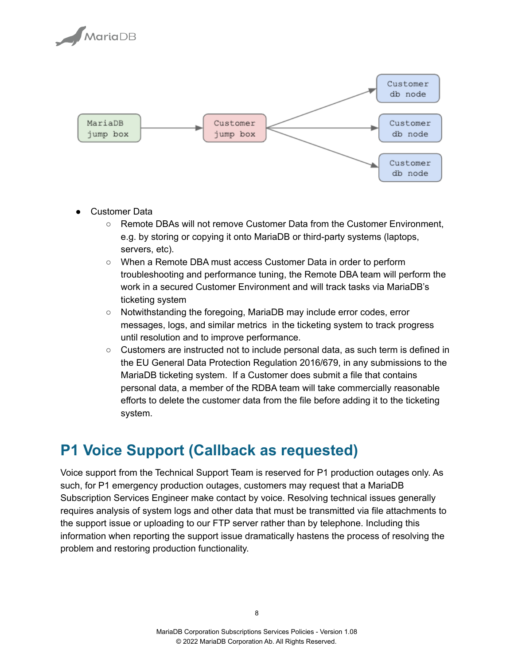



- **Customer Data** 
	- Remote DBAs will not remove Customer Data from the Customer Environment, e.g. by storing or copying it onto MariaDB or third-party systems (laptops, servers, etc).
	- When a Remote DBA must access Customer Data in order to perform troubleshooting and performance tuning, the Remote DBA team will perform the work in a secured Customer Environment and will track tasks via MariaDB's ticketing system
	- Notwithstanding the foregoing, MariaDB may include error codes, error messages, logs, and similar metrics in the ticketing system to track progress until resolution and to improve performance.
	- $\circ$  Customers are instructed not to include personal data, as such term is defined in the EU General Data Protection Regulation 2016/679, in any submissions to the MariaDB ticketing system. If a Customer does submit a file that contains personal data, a member of the RDBA team will take commercially reasonable efforts to delete the customer data from the file before adding it to the ticketing system.

### <span id="page-7-0"></span>**P1 Voice Support (Callback as requested)**

Voice support from the Technical Support Team is reserved for P1 production outages only. As such, for P1 emergency production outages, customers may request that a MariaDB Subscription Services Engineer make contact by voice. Resolving technical issues generally requires analysis of system logs and other data that must be transmitted via file attachments to the support issue or uploading to our FTP server rather than by telephone. Including this information when reporting the support issue dramatically hastens the process of resolving the problem and restoring production functionality.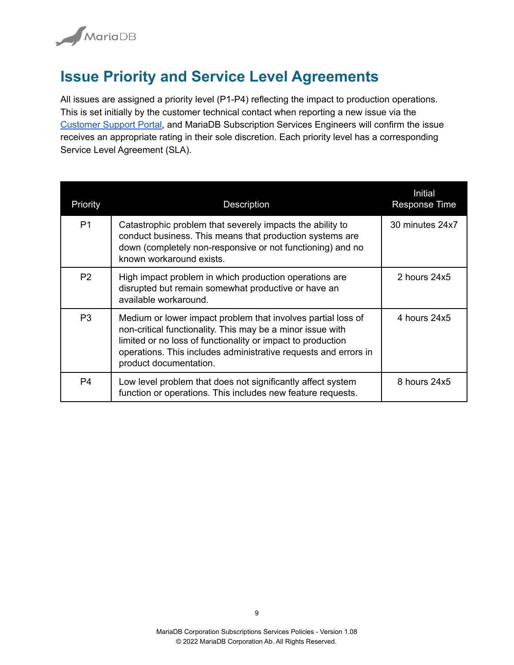

### <span id="page-8-0"></span>**Issue Priority and Service Level Agreements**

All issues are assigned a priority level (P1-P4) reflecting the impact to production operations. This is set initially by the customer technical contact when reporting a new issue via the [Customer](https://csm.mariadb.com) Support Portal, and MariaDB Subscription Services Engineers will confirm the issue receives an appropriate rating in their sole discretion. Each priority level has a corresponding Service Level Agreement (SLA).

| Priority       | <b>Description</b>                                                                                                                                                                                                                                                                     | Initial<br><b>Response Time</b> |
|----------------|----------------------------------------------------------------------------------------------------------------------------------------------------------------------------------------------------------------------------------------------------------------------------------------|---------------------------------|
| P <sub>1</sub> | Catastrophic problem that severely impacts the ability to<br>conduct business. This means that production systems are<br>down (completely non-responsive or not functioning) and no<br>known workaround exists.                                                                        | 30 minutes 24x7                 |
| P2             | High impact problem in which production operations are<br>disrupted but remain somewhat productive or have an<br>available workaround.                                                                                                                                                 | 2 hours $24x5$                  |
| P <sub>3</sub> | Medium or lower impact problem that involves partial loss of<br>non-critical functionality. This may be a minor issue with<br>limited or no loss of functionality or impact to production<br>operations. This includes administrative requests and errors in<br>product documentation. | 4 hours 24x5                    |
| P <sub>4</sub> | Low level problem that does not significantly affect system<br>function or operations. This includes new feature requests.                                                                                                                                                             | 8 hours 24x5                    |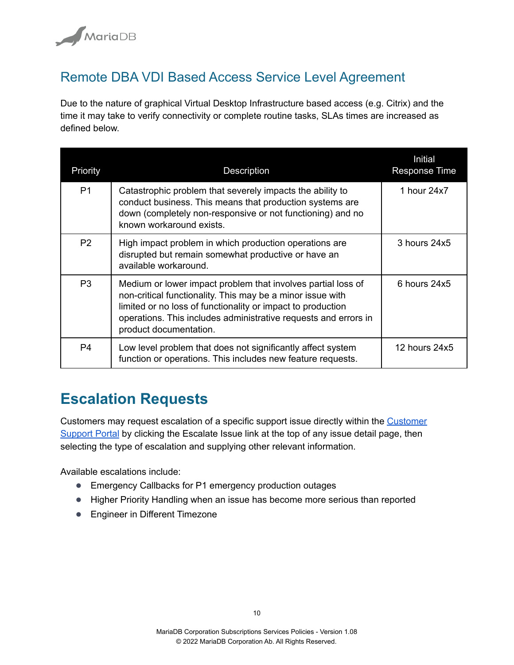

#### <span id="page-9-0"></span>Remote DBA VDI Based Access Service Level Agreement

Due to the nature of graphical Virtual Desktop Infrastructure based access (e.g. Citrix) and the time it may take to verify connectivity or complete routine tasks, SLAs times are increased as defined below.

| Priority       | <b>Description</b>                                                                                                                                                                                                                                                                     | Initial<br><b>Response Time</b> |
|----------------|----------------------------------------------------------------------------------------------------------------------------------------------------------------------------------------------------------------------------------------------------------------------------------------|---------------------------------|
| P <sub>1</sub> | Catastrophic problem that severely impacts the ability to<br>conduct business. This means that production systems are<br>down (completely non-responsive or not functioning) and no<br>known workaround exists.                                                                        | 1 hour 24x7                     |
| P2             | High impact problem in which production operations are<br>disrupted but remain somewhat productive or have an<br>available workaround.                                                                                                                                                 | $3$ hours $24x5$                |
| P <sub>3</sub> | Medium or lower impact problem that involves partial loss of<br>non-critical functionality. This may be a minor issue with<br>limited or no loss of functionality or impact to production<br>operations. This includes administrative requests and errors in<br>product documentation. | 6 hours 24x5                    |
| P4             | Low level problem that does not significantly affect system<br>function or operations. This includes new feature requests.                                                                                                                                                             | 12 hours $24x5$                 |

### <span id="page-9-1"></span>**Escalation Requests**

Customers may request escalation of a specific support issue directly within the [Customer](https://csm.mariadb.com) [Support](https://csm.mariadb.com) Portal by clicking the Escalate Issue link at the top of any issue detail page, then selecting the type of escalation and supplying other relevant information.

Available escalations include:

- Emergency Callbacks for P1 emergency production outages
- Higher Priority Handling when an issue has become more serious than reported
- Engineer in Different Timezone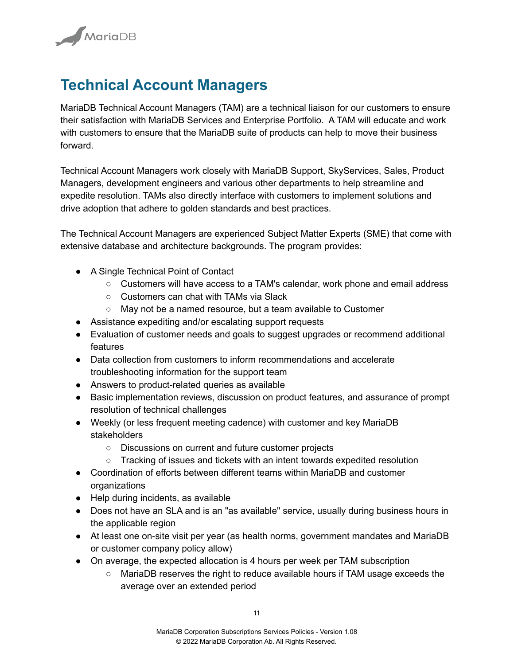

# <span id="page-10-0"></span>**Technical Account Managers**

MariaDB Technical Account Managers (TAM) are a technical liaison for our customers to ensure their satisfaction with MariaDB Services and Enterprise Portfolio. A TAM will educate and work with customers to ensure that the MariaDB suite of products can help to move their business forward.

Technical Account Managers work closely with MariaDB Support, SkyServices, Sales, Product Managers, development engineers and various other departments to help streamline and expedite resolution. TAMs also directly interface with customers to implement solutions and drive adoption that adhere to golden standards and best practices.

The Technical Account Managers are experienced Subject Matter Experts (SME) that come with extensive database and architecture backgrounds. The program provides:

- A Single Technical Point of Contact
	- Customers will have access to a TAM's calendar, work phone and email address
	- Customers can chat with TAMs via Slack
	- May not be a named resource, but a team available to Customer
- Assistance expediting and/or escalating support requests
- Evaluation of customer needs and goals to suggest upgrades or recommend additional features
- Data collection from customers to inform recommendations and accelerate troubleshooting information for the support team
- Answers to product-related queries as available
- Basic implementation reviews, discussion on product features, and assurance of prompt resolution of technical challenges
- Weekly (or less frequent meeting cadence) with customer and key MariaDB stakeholders
	- Discussions on current and future customer projects
	- Tracking of issues and tickets with an intent towards expedited resolution
- Coordination of efforts between different teams within MariaDB and customer organizations
- Help during incidents, as available
- Does not have an SLA and is an "as available" service, usually during business hours in the applicable region
- At least one on-site visit per year (as health norms, government mandates and MariaDB or customer company policy allow)
- On average, the expected allocation is 4 hours per week per TAM subscription
	- MariaDB reserves the right to reduce available hours if TAM usage exceeds the average over an extended period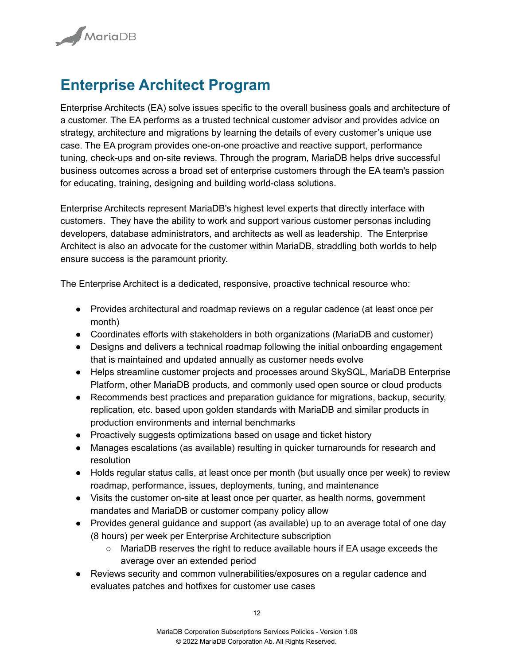

# <span id="page-11-0"></span>**Enterprise Architect Program**

Enterprise Architects (EA) solve issues specific to the overall business goals and architecture of a customer. The EA performs as a trusted technical customer advisor and provides advice on strategy, architecture and migrations by learning the details of every customer's unique use case. The EA program provides one-on-one proactive and reactive support, performance tuning, check-ups and on-site reviews. Through the program, MariaDB helps drive successful business outcomes across a broad set of enterprise customers through the EA team's passion for educating, training, designing and building world-class solutions.

Enterprise Architects represent MariaDB's highest level experts that directly interface with customers. They have the ability to work and support various customer personas including developers, database administrators, and architects as well as leadership. The Enterprise Architect is also an advocate for the customer within MariaDB, straddling both worlds to help ensure success is the paramount priority.

The Enterprise Architect is a dedicated, responsive, proactive technical resource who:

- Provides architectural and roadmap reviews on a regular cadence (at least once per month)
- Coordinates efforts with stakeholders in both organizations (MariaDB and customer)
- Designs and delivers a technical roadmap following the initial onboarding engagement that is maintained and updated annually as customer needs evolve
- Helps streamline customer projects and processes around SkySQL, MariaDB Enterprise Platform, other MariaDB products, and commonly used open source or cloud products
- Recommends best practices and preparation guidance for migrations, backup, security, replication, etc. based upon golden standards with MariaDB and similar products in production environments and internal benchmarks
- Proactively suggests optimizations based on usage and ticket history
- Manages escalations (as available) resulting in quicker turnarounds for research and resolution
- Holds regular status calls, at least once per month (but usually once per week) to review roadmap, performance, issues, deployments, tuning, and maintenance
- Visits the customer on-site at least once per quarter, as health norms, government mandates and MariaDB or customer company policy allow
- Provides general guidance and support (as available) up to an average total of one day (8 hours) per week per Enterprise Architecture subscription
	- MariaDB reserves the right to reduce available hours if EA usage exceeds the average over an extended period
- Reviews security and common vulnerabilities/exposures on a regular cadence and evaluates patches and hotfixes for customer use cases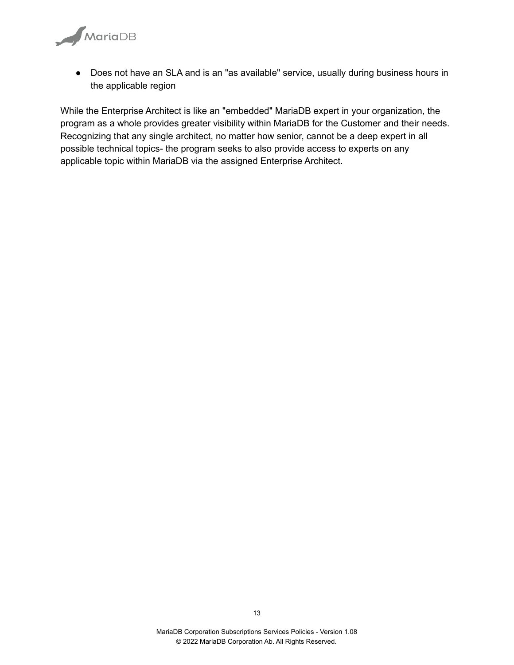

● Does not have an SLA and is an "as available" service, usually during business hours in the applicable region

While the Enterprise Architect is like an "embedded" MariaDB expert in your organization, the program as a whole provides greater visibility within MariaDB for the Customer and their needs. Recognizing that any single architect, no matter how senior, cannot be a deep expert in all possible technical topics- the program seeks to also provide access to experts on any applicable topic within MariaDB via the assigned Enterprise Architect.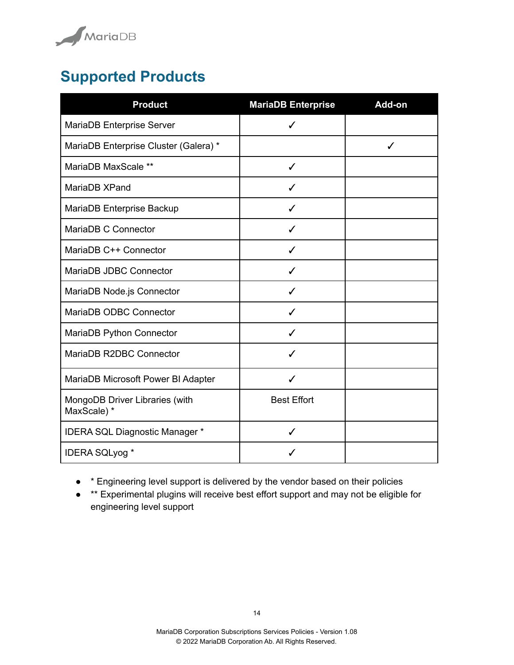

# <span id="page-13-0"></span>**Supported Products**

| <b>Product</b>                                | <b>MariaDB Enterprise</b> | Add-on |
|-----------------------------------------------|---------------------------|--------|
| MariaDB Enterprise Server                     | ✓                         |        |
| MariaDB Enterprise Cluster (Galera) *         |                           | ✓      |
| MariaDB MaxScale **                           | ✓                         |        |
| MariaDB XPand                                 |                           |        |
| MariaDB Enterprise Backup                     |                           |        |
| MariaDB C Connector                           |                           |        |
| MariaDB C++ Connector                         |                           |        |
| MariaDB JDBC Connector                        |                           |        |
| MariaDB Node.js Connector                     | J                         |        |
| MariaDB ODBC Connector                        | ℐ                         |        |
| MariaDB Python Connector                      | ✓                         |        |
| MariaDB R2DBC Connector                       | J                         |        |
| MariaDB Microsoft Power BI Adapter            | ℐ                         |        |
| MongoDB Driver Libraries (with<br>MaxScale) * | <b>Best Effort</b>        |        |
| IDERA SQL Diagnostic Manager *                | ✓                         |        |
| <b>IDERA SQLyog *</b>                         |                           |        |

- \* Engineering level support is delivered by the vendor based on their policies
- \*\* Experimental plugins will receive best effort support and may not be eligible for engineering level support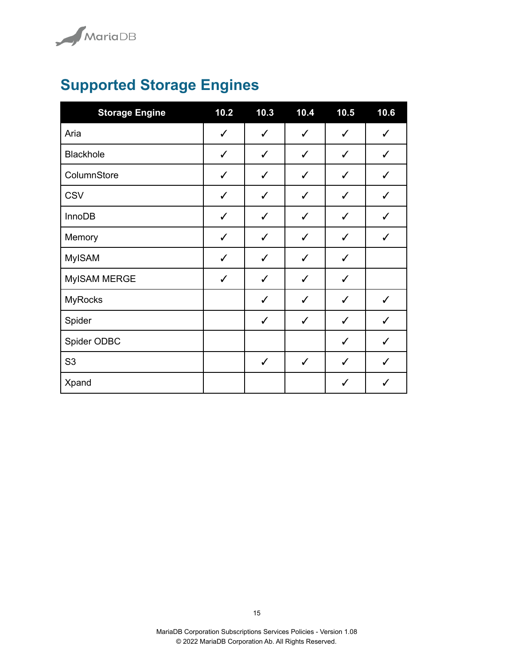

# <span id="page-14-0"></span>**Supported Storage Engines**

| <b>Storage Engine</b> | 10.2         | 10.3         | 10.4         | 10.5         | 10.6         |
|-----------------------|--------------|--------------|--------------|--------------|--------------|
| Aria                  | $\checkmark$ | $\checkmark$ | $\checkmark$ | $\checkmark$ | $\checkmark$ |
| Blackhole             | $\checkmark$ | $\checkmark$ | $\checkmark$ | $\checkmark$ | $\checkmark$ |
| ColumnStore           | $\checkmark$ | $\checkmark$ | $\checkmark$ | $\checkmark$ | $\checkmark$ |
| <b>CSV</b>            | $\checkmark$ | $\checkmark$ | $\checkmark$ | $\checkmark$ | $\checkmark$ |
| <b>InnoDB</b>         | $\checkmark$ | ✓            | $\checkmark$ | ✓            | $\checkmark$ |
| Memory                | $\checkmark$ | $\checkmark$ | $\checkmark$ | $\checkmark$ | $\checkmark$ |
| <b>MyISAM</b>         | $\checkmark$ | $\checkmark$ | $\checkmark$ | $\checkmark$ |              |
| MyISAM MERGE          | $\checkmark$ | ✓            | $\checkmark$ | ✓            |              |
| <b>MyRocks</b>        |              | $\checkmark$ | ✓            | $\checkmark$ | $\checkmark$ |
| Spider                |              | $\checkmark$ | $\checkmark$ | $\checkmark$ | $\checkmark$ |
| Spider ODBC           |              |              |              | $\checkmark$ | $\checkmark$ |
| S <sub>3</sub>        |              | $\checkmark$ | $\checkmark$ | $\checkmark$ | $\checkmark$ |
| Xpand                 |              |              |              | $\checkmark$ | $\checkmark$ |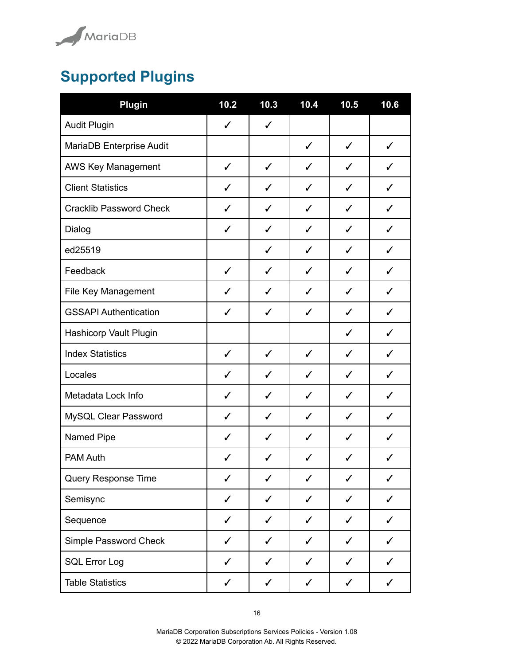

# <span id="page-15-0"></span>**Supported Plugins**

| Plugin                         | 10.2         | 10.3         | 10.4         | 10.5         | 10.6         |
|--------------------------------|--------------|--------------|--------------|--------------|--------------|
| Audit Plugin                   | $\checkmark$ | $\checkmark$ |              |              |              |
| MariaDB Enterprise Audit       |              |              | $\checkmark$ | $\checkmark$ | $\checkmark$ |
| AWS Key Management             | $\checkmark$ | $\checkmark$ | $\checkmark$ | $\checkmark$ | $\checkmark$ |
| <b>Client Statistics</b>       | ✓            | $\checkmark$ | $\checkmark$ | $\checkmark$ | ✓            |
| <b>Cracklib Password Check</b> | $\checkmark$ | $\checkmark$ | $\checkmark$ | $\checkmark$ | $\checkmark$ |
| Dialog                         | ✓            | $\checkmark$ | $\checkmark$ | ✓            | $\checkmark$ |
| ed25519                        |              | $\checkmark$ | $\checkmark$ | ✓            | ✓            |
| Feedback                       | $\checkmark$ | ✓            | ✓            | ✓            | ✓            |
| File Key Management            | ✓            | ✓            | ✓            | ✓            | ✓            |
| <b>GSSAPI Authentication</b>   | ✓            | $\checkmark$ | $\checkmark$ | ✓            | ✓            |
| Hashicorp Vault Plugin         |              |              |              | ✓            | ✓            |
| <b>Index Statistics</b>        | $\checkmark$ | $\checkmark$ | $\checkmark$ | ✓            | ✓            |
| Locales                        | $\checkmark$ | $\checkmark$ | $\checkmark$ | $\checkmark$ | $\checkmark$ |
| Metadata Lock Info             | $\checkmark$ | $\checkmark$ | $\checkmark$ | $\checkmark$ | $\checkmark$ |
| MySQL Clear Password           | $\checkmark$ | $\checkmark$ | $\checkmark$ | $\checkmark$ | $\checkmark$ |
| Named Pipe                     | $\checkmark$ | $\checkmark$ | $\checkmark$ | ✓            | $\checkmark$ |
| <b>PAM Auth</b>                | ✓            | ✓            | $\checkmark$ | ✓            | ✓            |
| Query Response Time            | ✓            | ✓            | ✓            | ✓            | ✓            |
| Semisync                       | ✓            | ✓            | ✓            | ✓            | ✓            |
| Sequence                       | ✓            | $\checkmark$ | $\checkmark$ | ✓            | ✓            |
| Simple Password Check          | $\checkmark$ | $\checkmark$ | $\checkmark$ | $\checkmark$ | $\checkmark$ |
| <b>SQL Error Log</b>           | $\checkmark$ | $\checkmark$ | $\checkmark$ | $\checkmark$ | $\checkmark$ |
| <b>Table Statistics</b>        | $\checkmark$ | $\checkmark$ | $\checkmark$ | $\checkmark$ | $\checkmark$ |